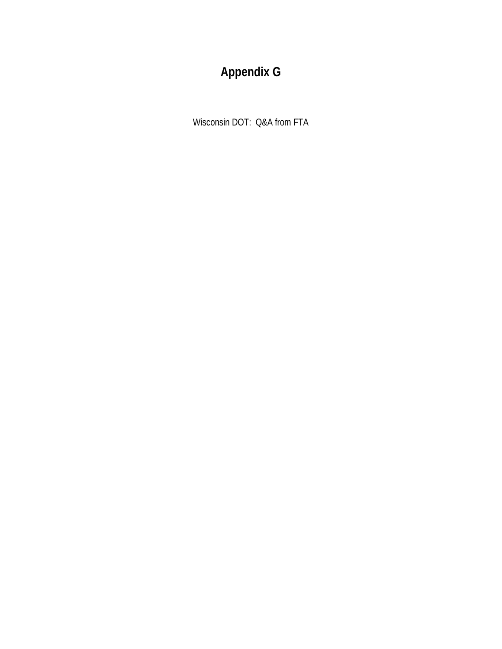# **Appendix G**

Wisconsin DOT: Q&A from FTA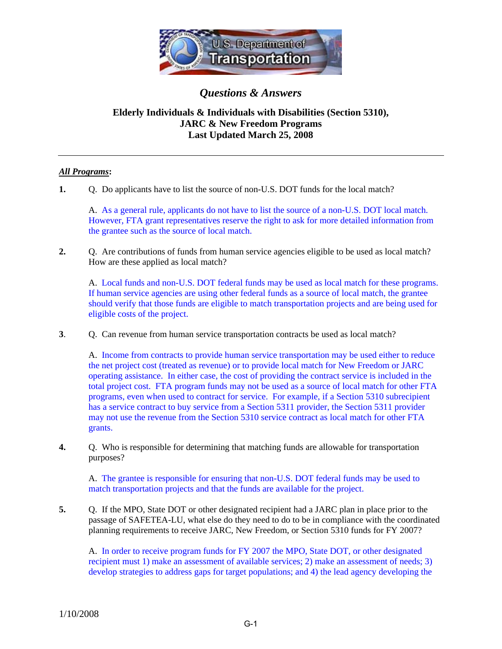

*Questions & Answers*

# **Elderly Individuals & Individuals with Disabilities (Section 5310), JARC & New Freedom Programs Last Updated March 25, 2008**

### *All Programs***:**

**1.** Q. Do applicants have to list the source of non-U.S. DOT funds for the local match?

A. As a general rule, applicants do not have to list the source of a non-U.S. DOT local match. However, FTA grant representatives reserve the right to ask for more detailed information from the grantee such as the source of local match.

**2.** Q. Are contributions of funds from human service agencies eligible to be used as local match? How are these applied as local match?

 A. Local funds and non-U.S. DOT federal funds may be used as local match for these programs. If human service agencies are using other federal funds as a source of local match, the grantee should verify that those funds are eligible to match transportation projects and are being used for eligible costs of the project.

**3**. Q. Can revenue from human service transportation contracts be used as local match?

A. Income from contracts to provide human service transportation may be used either to reduce the net project cost (treated as revenue) or to provide local match for New Freedom or JARC operating assistance. In either case, the cost of providing the contract service is included in the total project cost. FTA program funds may not be used as a source of local match for other FTA programs, even when used to contract for service. For example, if a Section 5310 subrecipient has a service contract to buy service from a Section 5311 provider, the Section 5311 provider may not use the revenue from the Section 5310 service contract as local match for other FTA grants.

**4.** Q. Who is responsible for determining that matching funds are allowable for transportation purposes?

 A. The grantee is responsible for ensuring that non-U.S. DOT federal funds may be used to match transportation projects and that the funds are available for the project.

**5.** Q. If the MPO, State DOT or other designated recipient had a JARC plan in place prior to the passage of SAFETEA-LU, what else do they need to do to be in compliance with the coordinated planning requirements to receive JARC, New Freedom, or Section 5310 funds for FY 2007?

A. In order to receive program funds for FY 2007 the MPO, State DOT, or other designated recipient must 1) make an assessment of available services; 2) make an assessment of needs; 3) develop strategies to address gaps for target populations; and 4) the lead agency developing the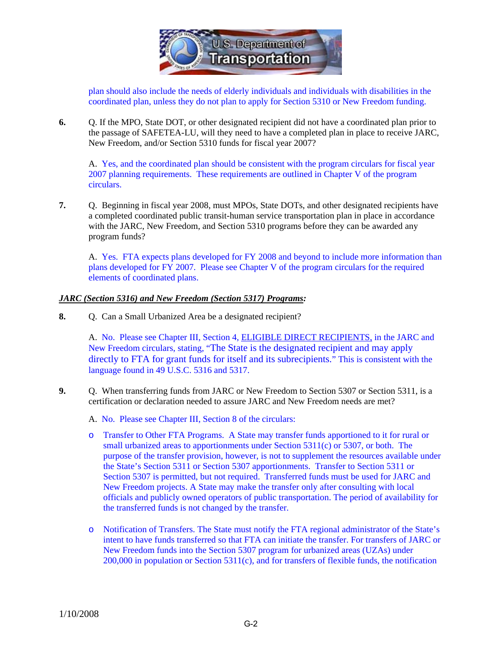

plan should also include the needs of elderly individuals and individuals with disabilities in the coordinated plan, unless they do not plan to apply for Section 5310 or New Freedom funding.

**6.** Q. If the MPO, State DOT, or other designated recipient did not have a coordinated plan prior to the passage of SAFETEA-LU, will they need to have a completed plan in place to receive JARC, New Freedom, and/or Section 5310 funds for fiscal year 2007?

A. Yes, and the coordinated plan should be consistent with the program circulars for fiscal year 2007 planning requirements. These requirements are outlined in Chapter V of the program circulars.

**7.** Q. Beginning in fiscal year 2008, must MPOs, State DOTs, and other designated recipients have a completed coordinated public transit-human service transportation plan in place in accordance with the JARC, New Freedom, and Section 5310 programs before they can be awarded any program funds?

A. Yes. FTA expects plans developed for FY 2008 and beyond to include more information than plans developed for FY 2007. Please see Chapter V of the program circulars for the required elements of coordinated plans.

#### *JARC (Section 5316) and New Freedom (Section 5317) Programs:*

**8.** Q. Can a Small Urbanized Area be a designated recipient?

A. No. Please see Chapter III, Section 4, ELIGIBLE DIRECT RECIPIENTS, in the JARC and New Freedom circulars, stating, "The State is the designated recipient and may apply directly to FTA for grant funds for itself and its subrecipients." This is consistent with the language found in 49 U.S.C. 5316 and 5317.

- **9.** Q. When transferring funds from JARC or New Freedom to Section 5307 or Section 5311, is a certification or declaration needed to assure JARC and New Freedom needs are met?
	- A. No. Please see Chapter III, Section 8 of the circulars:
	- o Transfer to Other FTA Programs. A State may transfer funds apportioned to it for rural or small urbanized areas to apportionments under Section 5311(c) or 5307, or both. The purpose of the transfer provision, however, is not to supplement the resources available under the State's Section 5311 or Section 5307 apportionments. Transfer to Section 5311 or Section 5307 is permitted, but not required. Transferred funds must be used for JARC and New Freedom projects. A State may make the transfer only after consulting with local officials and publicly owned operators of public transportation. The period of availability for the transferred funds is not changed by the transfer.
	- o Notification of Transfers. The State must notify the FTA regional administrator of the State's intent to have funds transferred so that FTA can initiate the transfer. For transfers of JARC or New Freedom funds into the Section 5307 program for urbanized areas (UZAs) under 200,000 in population or Section 5311(c), and for transfers of flexible funds, the notification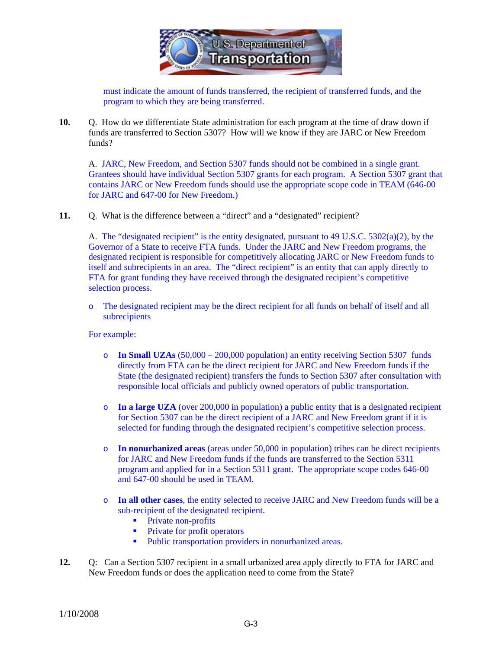

must indicate the amount of funds transferred, the recipient of transferred funds, and the program to which they are being transferred.

**10.** Q. How do we differentiate State administration for each program at the time of draw down if funds are transferred to Section 5307? How will we know if they are JARC or New Freedom funds?

A. JARC, New Freedom, and Section 5307 funds should not be combined in a single grant. Grantees should have individual Section 5307 grants for each program. A Section 5307 grant that contains JARC or New Freedom funds should use the appropriate scope code in TEAM (646-00 for JARC and 647-00 for New Freedom.)

**11.** Q. What is the difference between a "direct" and a "designated" recipient?

A. The "designated recipient" is the entity designated, pursuant to 49 U.S.C. 5302(a)(2), by the Governor of a State to receive FTA funds. Under the JARC and New Freedom programs, the designated recipient is responsible for competitively allocating JARC or New Freedom funds to itself and subrecipients in an area. The "direct recipient" is an entity that can apply directly to FTA for grant funding they have received through the designated recipient's competitive selection process.

o The designated recipient may be the direct recipient for all funds on behalf of itself and all subrecipients

For example:

- o **In Small UZAs** (50,000 200,000 population) an entity receiving Section 5307 funds directly from FTA can be the direct recipient for JARC and New Freedom funds if the State (the designated recipient) transfers the funds to Section 5307 after consultation with responsible local officials and publicly owned operators of public transportation.
- o **In a large UZA** (over 200,000 in population) a public entity that is a designated recipient for Section 5307 can be the direct recipient of a JARC and New Freedom grant if it is selected for funding through the designated recipient's competitive selection process.
- o **In nonurbanized areas** (areas under 50,000 in population) tribes can be direct recipients for JARC and New Freedom funds if the funds are transferred to the Section 5311 program and applied for in a Section 5311 grant. The appropriate scope codes 646-00 and 647-00 should be used in TEAM.
- o **In all other cases**, the entity selected to receive JARC and New Freedom funds will be a sub-recipient of the designated recipient.
	- Private non-profits
	- Private for profit operators
	- Public transportation providers in nonurbanized areas.
- **12.** Q: Can a Section 5307 recipient in a small urbanized area apply directly to FTA for JARC and New Freedom funds or does the application need to come from the State?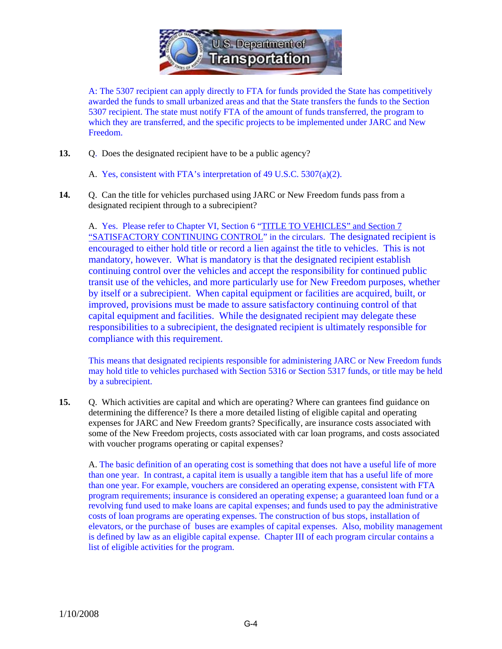

A: The 5307 recipient can apply directly to FTA for funds provided the State has competitively awarded the funds to small urbanized areas and that the State transfers the funds to the Section 5307 recipient. The state must notify FTA of the amount of funds transferred, the program to which they are transferred, and the specific projects to be implemented under JARC and New Freedom.

- **13.** Q. Does the designated recipient have to be a public agency?
	- A. Yes, consistent with FTA's interpretation of 49 U.S.C. 5307(a)(2).
- **14.** Q. Can the title for vehicles purchased using JARC or New Freedom funds pass from a designated recipient through to a subrecipient?

A. Yes. Please refer to Chapter VI, Section 6 "TITLE TO VEHICLES" and Section 7 "SATISFACTORY CONTINUING CONTROL" in the circulars. The designated recipient is encouraged to either hold title or record a lien against the title to vehicles. This is not mandatory, however. What is mandatory is that the designated recipient establish continuing control over the vehicles and accept the responsibility for continued public transit use of the vehicles, and more particularly use for New Freedom purposes, whether by itself or a subrecipient. When capital equipment or facilities are acquired, built, or improved, provisions must be made to assure satisfactory continuing control of that capital equipment and facilities. While the designated recipient may delegate these responsibilities to a subrecipient, the designated recipient is ultimately responsible for compliance with this requirement.

This means that designated recipients responsible for administering JARC or New Freedom funds may hold title to vehicles purchased with Section 5316 or Section 5317 funds, or title may be held by a subrecipient.

**15.** Q. Which activities are capital and which are operating? Where can grantees find guidance on determining the difference? Is there a more detailed listing of eligible capital and operating expenses for JARC and New Freedom grants? Specifically, are insurance costs associated with some of the New Freedom projects, costs associated with car loan programs, and costs associated with voucher programs operating or capital expenses?

A. The basic definition of an operating cost is something that does not have a useful life of more than one year. In contrast, a capital item is usually a tangible item that has a useful life of more than one year. For example, vouchers are considered an operating expense, consistent with FTA program requirements; insurance is considered an operating expense; a guaranteed loan fund or a revolving fund used to make loans are capital expenses; and funds used to pay the administrative costs of loan programs are operating expenses. The construction of bus stops, installation of elevators, or the purchase of buses are examples of capital expenses. Also, mobility management is defined by law as an eligible capital expense. Chapter III of each program circular contains a list of eligible activities for the program.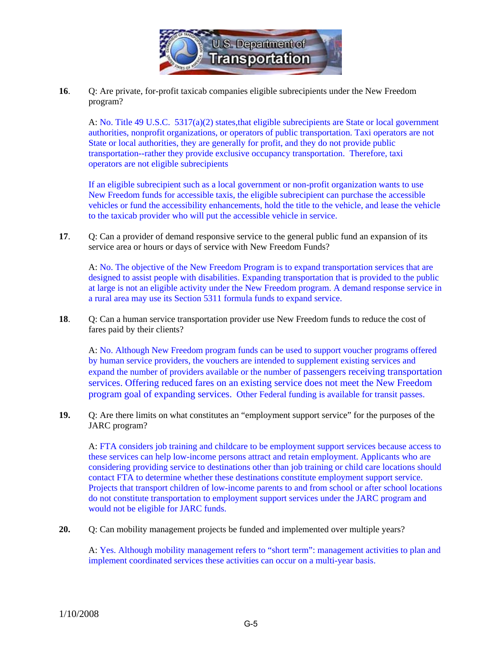

**16**. Q: Are private, for-profit taxicab companies eligible subrecipients under the New Freedom program?

A: No. Title 49 U.S.C. 5317(a)(2) states,that eligible subrecipients are State or local government authorities, nonprofit organizations, or operators of public transportation. Taxi operators are not State or local authorities, they are generally for profit, and they do not provide public transportation--rather they provide exclusive occupancy transportation. Therefore, taxi operators are not eligible subrecipients

If an eligible subrecipient such as a local government or non-profit organization wants to use New Freedom funds for accessible taxis, the eligible subrecipient can purchase the accessible vehicles or fund the accessibility enhancements, hold the title to the vehicle, and lease the vehicle to the taxicab provider who will put the accessible vehicle in service.

**17**. Q: Can a provider of demand responsive service to the general public fund an expansion of its service area or hours or days of service with New Freedom Funds?

A: No. The objective of the New Freedom Program is to expand transportation services that are designed to assist people with disabilities. Expanding transportation that is provided to the public at large is not an eligible activity under the New Freedom program. A demand response service in a rural area may use its Section 5311 formula funds to expand service.

**18**. Q: Can a human service transportation provider use New Freedom funds to reduce the cost of fares paid by their clients?

A: No. Although New Freedom program funds can be used to support voucher programs offered by human service providers, the vouchers are intended to supplement existing services and expand the number of providers available or the number of passengers receiving transportation services. Offering reduced fares on an existing service does not meet the New Freedom program goal of expanding services. Other Federal funding is available for transit passes.

**19.** Q: Are there limits on what constitutes an "employment support service" for the purposes of the JARC program?

A: FTA considers job training and childcare to be employment support services because access to these services can help low-income persons attract and retain employment. Applicants who are considering providing service to destinations other than job training or child care locations should contact FTA to determine whether these destinations constitute employment support service. Projects that transport children of low-income parents to and from school or after school locations do not constitute transportation to employment support services under the JARC program and would not be eligible for JARC funds.

**20.** Q: Can mobility management projects be funded and implemented over multiple years?

A: Yes. Although mobility management refers to "short term": management activities to plan and implement coordinated services these activities can occur on a multi-year basis.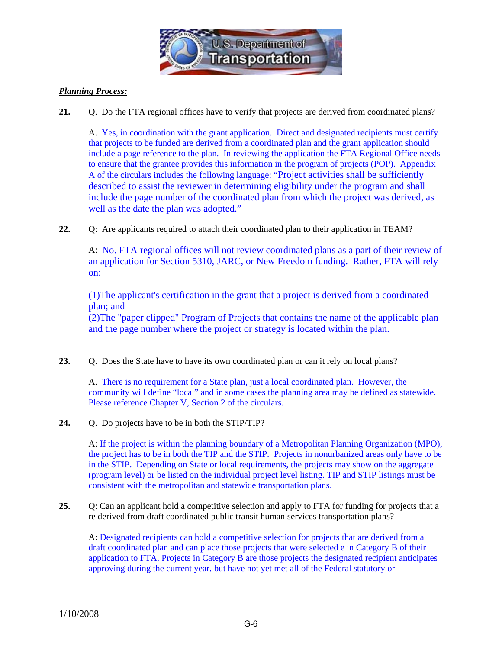

## *Planning Process:*

**21.** Q. Do the FTA regional offices have to verify that projects are derived from coordinated plans?

A. Yes, in coordination with the grant application. Direct and designated recipients must certify that projects to be funded are derived from a coordinated plan and the grant application should include a page reference to the plan. In reviewing the application the FTA Regional Office needs to ensure that the grantee provides this information in the program of projects (POP). Appendix A of the circulars includes the following language: "Project activities shall be sufficiently described to assist the reviewer in determining eligibility under the program and shall include the page number of the coordinated plan from which the project was derived, as well as the date the plan was adopted."

**22.** Q: Are applicants required to attach their coordinated plan to their application in TEAM?

A: No. FTA regional offices will not review coordinated plans as a part of their review of an application for Section 5310, JARC, or New Freedom funding. Rather, FTA will rely on:

(1)The applicant's certification in the grant that a project is derived from a coordinated plan; and

(2)The "paper clipped" Program of Projects that contains the name of the applicable plan and the page number where the project or strategy is located within the plan.

23. Q. Does the State have to have its own coordinated plan or can it rely on local plans?

A. There is no requirement for a State plan, just a local coordinated plan. However, the community will define "local" and in some cases the planning area may be defined as statewide. Please reference Chapter V, Section 2 of the circulars.

24. O. Do projects have to be in both the STIP/TIP?

A: If the project is within the planning boundary of a Metropolitan Planning Organization (MPO), the project has to be in both the TIP and the STIP. Projects in nonurbanized areas only have to be in the STIP. Depending on State or local requirements, the projects may show on the aggregate (program level) or be listed on the individual project level listing. TIP and STIP listings must be consistent with the metropolitan and statewide transportation plans.

**25.** Q: Can an applicant hold a competitive selection and apply to FTA for funding for projects that a re derived from draft coordinated public transit human services transportation plans?

A: Designated recipients can hold a competitive selection for projects that are derived from a draft coordinated plan and can place those projects that were selected e in Category B of their application to FTA. Projects in Category B are those projects the designated recipient anticipates approving during the current year, but have not yet met all of the Federal statutory or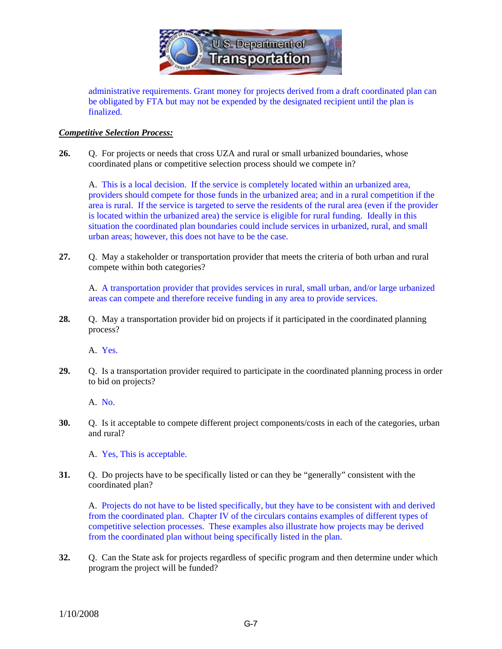

administrative requirements. Grant money for projects derived from a draft coordinated plan can be obligated by FTA but may not be expended by the designated recipient until the plan is finalized.

#### *Competitive Selection Process:*

26. O. For projects or needs that cross UZA and rural or small urbanized boundaries, whose coordinated plans or competitive selection process should we compete in?

 A. This is a local decision. If the service is completely located within an urbanized area, providers should compete for those funds in the urbanized area; and in a rural competition if the area is rural. If the service is targeted to serve the residents of the rural area (even if the provider is located within the urbanized area) the service is eligible for rural funding. Ideally in this situation the coordinated plan boundaries could include services in urbanized, rural, and small urban areas; however, this does not have to be the case.

**27.** Q. May a stakeholder or transportation provider that meets the criteria of both urban and rural compete within both categories?

A. A transportation provider that provides services in rural, small urban, and/or large urbanized areas can compete and therefore receive funding in any area to provide services.

**28.** Q. May a transportation provider bid on projects if it participated in the coordinated planning process?

A. Yes.

**29.** Q. Is a transportation provider required to participate in the coordinated planning process in order to bid on projects?

A. No.

**30.** Q. Is it acceptable to compete different project components/costs in each of the categories, urban and rural?

A. Yes, This is acceptable.

**31.** Q. Do projects have to be specifically listed or can they be "generally" consistent with the coordinated plan?

A. Projects do not have to be listed specifically, but they have to be consistent with and derived from the coordinated plan. Chapter IV of the circulars contains examples of different types of competitive selection processes. These examples also illustrate how projects may be derived from the coordinated plan without being specifically listed in the plan.

**32.** Q. Can the State ask for projects regardless of specific program and then determine under which program the project will be funded?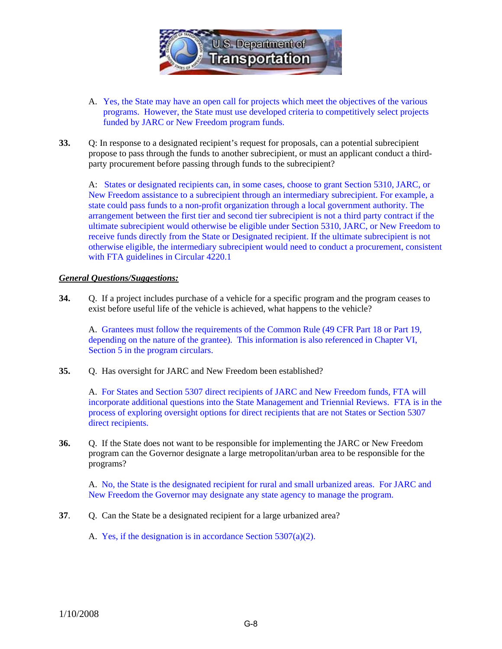

- A. Yes, the State may have an open call for projects which meet the objectives of the various programs. However, the State must use developed criteria to competitively select projects funded by JARC or New Freedom program funds.
- **33.** Q: In response to a designated recipient's request for proposals, can a potential subrecipient propose to pass through the funds to another subrecipient, or must an applicant conduct a thirdparty procurement before passing through funds to the subrecipient?

A: States or designated recipients can, in some cases, choose to grant Section 5310, JARC, or New Freedom assistance to a subrecipient through an intermediary subrecipient. For example, a state could pass funds to a non-profit organization through a local government authority. The arrangement between the first tier and second tier subrecipient is not a third party contract if the ultimate subrecipient would otherwise be eligible under Section 5310, JARC, or New Freedom to receive funds directly from the State or Designated recipient. If the ultimate subrecipient is not otherwise eligible, the intermediary subrecipient would need to conduct a procurement, consistent with FTA guidelines in Circular 4220.1

#### *General Questions/Suggestions:*

**34.** Q. If a project includes purchase of a vehicle for a specific program and the program ceases to exist before useful life of the vehicle is achieved, what happens to the vehicle?

A. Grantees must follow the requirements of the Common Rule (49 CFR Part 18 or Part 19, depending on the nature of the grantee). This information is also referenced in Chapter VI, Section 5 in the program circulars.

**35.** Q. Has oversight for JARC and New Freedom been established?

 A. For States and Section 5307 direct recipients of JARC and New Freedom funds, FTA will incorporate additional questions into the State Management and Triennial Reviews. FTA is in the process of exploring oversight options for direct recipients that are not States or Section 5307 direct recipients.

**36.** Q. If the State does not want to be responsible for implementing the JARC or New Freedom program can the Governor designate a large metropolitan/urban area to be responsible for the programs?

A. No, the State is the designated recipient for rural and small urbanized areas. For JARC and New Freedom the Governor may designate any state agency to manage the program.

- **37**. Q. Can the State be a designated recipient for a large urbanized area?
	- A. Yes, if the designation is in accordance Section 5307(a)(2).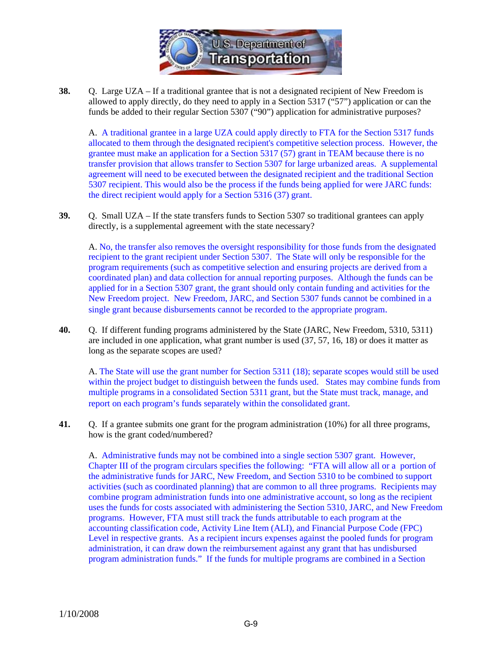

**38.** Q. Large UZA – If a traditional grantee that is not a designated recipient of New Freedom is allowed to apply directly, do they need to apply in a Section 5317 ("57") application or can the funds be added to their regular Section 5307 ("90") application for administrative purposes?

 A. A traditional grantee in a large UZA could apply directly to FTA for the Section 5317 funds allocated to them through the designated recipient's competitive selection process. However, the grantee must make an application for a Section 5317 (57) grant in TEAM because there is no transfer provision that allows transfer to Section 5307 for large urbanized areas. A supplemental agreement will need to be executed between the designated recipient and the traditional Section 5307 recipient. This would also be the process if the funds being applied for were JARC funds: the direct recipient would apply for a Section 5316 (37) grant.

**39.** Q. Small UZA – If the state transfers funds to Section 5307 so traditional grantees can apply directly, is a supplemental agreement with the state necessary?

 A. No, the transfer also removes the oversight responsibility for those funds from the designated recipient to the grant recipient under Section 5307. The State will only be responsible for the program requirements (such as competitive selection and ensuring projects are derived from a coordinated plan) and data collection for annual reporting purposes. Although the funds can be applied for in a Section 5307 grant, the grant should only contain funding and activities for the New Freedom project. New Freedom, JARC, and Section 5307 funds cannot be combined in a single grant because disbursements cannot be recorded to the appropriate program.

**40.** Q. If different funding programs administered by the State (JARC, New Freedom, 5310, 5311) are included in one application, what grant number is used (37, 57, 16, 18) or does it matter as long as the separate scopes are used?

A. The State will use the grant number for Section 5311 (18); separate scopes would still be used within the project budget to distinguish between the funds used. States may combine funds from multiple programs in a consolidated Section 5311 grant, but the State must track, manage, and report on each program's funds separately within the consolidated grant.

**41.** Q. If a grantee submits one grant for the program administration (10%) for all three programs, how is the grant coded/numbered?

 A. Administrative funds may not be combined into a single section 5307 grant. However, Chapter III of the program circulars specifies the following: "FTA will allow all or a portion of the administrative funds for JARC, New Freedom, and Section 5310 to be combined to support activities (such as coordinated planning) that are common to all three programs. Recipients may combine program administration funds into one administrative account, so long as the recipient uses the funds for costs associated with administering the Section 5310, JARC, and New Freedom programs. However, FTA must still track the funds attributable to each program at the accounting classification code, Activity Line Item (ALI), and Financial Purpose Code (FPC) Level in respective grants. As a recipient incurs expenses against the pooled funds for program administration, it can draw down the reimbursement against any grant that has undisbursed program administration funds." If the funds for multiple programs are combined in a Section